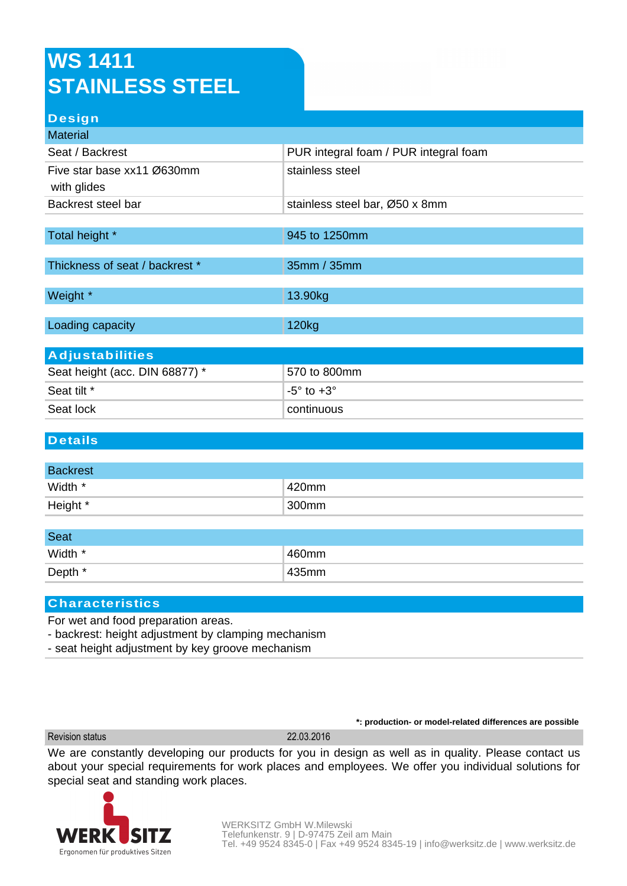# **WS 1411 STAINLESS STEEL**

### **Design**

| <b>Material</b>                |                                       |  |
|--------------------------------|---------------------------------------|--|
| Seat / Backrest                | PUR integral foam / PUR integral foam |  |
| Five star base xx11 Ø630mm     | stainless steel                       |  |
| with glides                    |                                       |  |
| Backrest steel bar             | stainless steel bar, Ø50 x 8mm        |  |
|                                |                                       |  |
| Total height *                 | 945 to 1250mm                         |  |
| Thickness of seat / backrest * | 35mm / 35mm                           |  |
|                                |                                       |  |
| Weight *                       | 13.90kg                               |  |
| Loading capacity               | 120 <sub>kg</sub>                     |  |
|                                |                                       |  |
| <b>Adjustabilities</b>         |                                       |  |
| Seat height (acc. DIN 68877) * | 570 to 800mm                          |  |
| Seat tilt *                    | $-5^\circ$ to $+3^\circ$              |  |

#### **Details**

| <b>Backrest</b> |       |
|-----------------|-------|
| Width *         | 420mm |
| Height *        | 300mm |

| <b>Seat</b> |       |
|-------------|-------|
| Width *     | 460mm |
| Depth *     | 435mm |

### **Characteristics**

For wet and food preparation areas.

- backrest: height adjustment by clamping mechanism

Seat lock continuous

- seat height adjustment by key groove mechanism

Revision status 22.03.2016

**\*: production- or model-related differences are possible**

We are constantly developing our products for you in design as well as in quality. Please contact us about your special requirements for work places and employees. We offer you individual solutions for special seat and standing work places.